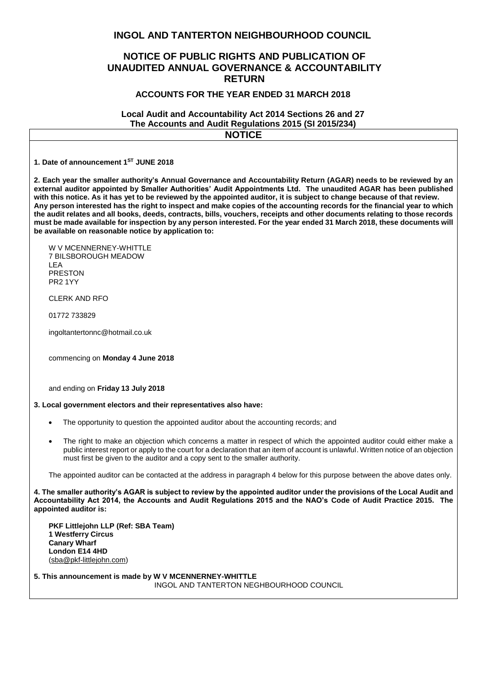# **INGOL AND TANTERTON NEIGHBOURHOOD COUNCIL**

# **NOTICE OF PUBLIC RIGHTS AND PUBLICATION OF UNAUDITED ANNUAL GOVERNANCE & ACCOUNTABILITY RETURN**

### **ACCOUNTS FOR THE YEAR ENDED 31 MARCH 2018**

#### **Local Audit and Accountability Act 2014 Sections 26 and 27 The Accounts and Audit Regulations 2015 (SI 2015/234) NOTICE**

**1. Date of announcement 1 ST JUNE 2018**

**2. Each year the smaller authority's Annual Governance and Accountability Return (AGAR) needs to be reviewed by an external auditor appointed by Smaller Authorities' Audit Appointments Ltd. The unaudited AGAR has been published with this notice. As it has yet to be reviewed by the appointed auditor, it is subject to change because of that review. Any person interested has the right to inspect and make copies of the accounting records for the financial year to which the audit relates and all books, deeds, contracts, bills, vouchers, receipts and other documents relating to those records must be made available for inspection by any person interested. For the year ended 31 March 2018, these documents will be available on reasonable notice by application to:**

W V MCENNERNEY-WHITTLE 7 BILSBOROUGH MEADOW LEA PRESTON PR2 1YY

CLERK AND RFO

01772 733829

ingoltantertonnc@hotmail.co.uk

commencing on **Monday 4 June 2018**

and ending on **Friday 13 July 2018**

#### **3. Local government electors and their representatives also have:**

- The opportunity to question the appointed auditor about the accounting records; and
- The right to make an objection which concerns a matter in respect of which the appointed auditor could either make a public interest report or apply to the court for a declaration that an item of account is unlawful. Written notice of an objection must first be given to the auditor and a copy sent to the smaller authority.

The appointed auditor can be contacted at the address in paragraph 4 below for this purpose between the above dates only.

**4. The smaller authority's AGAR is subject to review by the appointed auditor under the provisions of the Local Audit and Accountability Act 2014, the Accounts and Audit Regulations 2015 and the NAO's Code of Audit Practice 2015. The appointed auditor is:**

**PKF Littlejohn LLP (Ref: SBA Team) 1 Westferry Circus Canary Wharf London E14 4HD** [\(sba@pkf-littlejohn.com\)](mailto:sba@pkf-littlejohn.com)

**5. This announcement is made by W V MCENNERNEY-WHITTLE**  INGOL AND TANTERTON NEGHBOURHOOD COUNCIL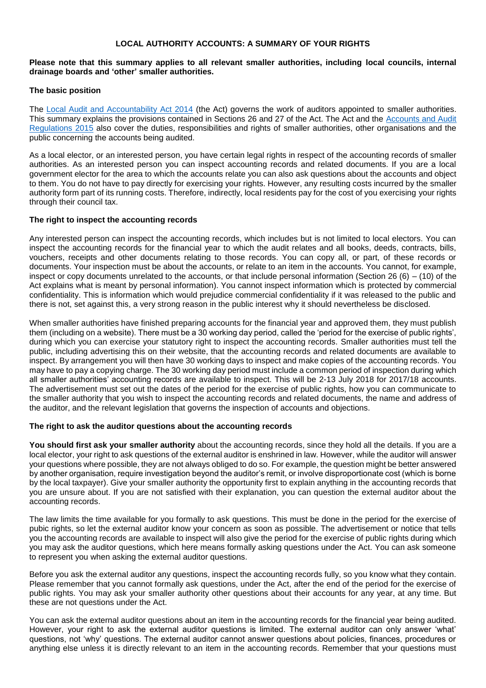## **LOCAL AUTHORITY ACCOUNTS: A SUMMARY OF YOUR RIGHTS**

## **Please note that this summary applies to all relevant smaller authorities, including local councils, internal drainage boards and 'other' smaller authorities.**

# **The basic position**

The [Local Audit and Accountability Act 2014](http://www.legislation.gov.uk/ukpga/2014/2/contents) (the Act) governs the work of auditors appointed to smaller authorities. This summary explains the provisions contained in Sections 26 and 27 of the Act. The Act and the [Accounts and Audit](http://www.legislation.gov.uk/uksi/2015/234/contents/made)  [Regulations 2015](http://www.legislation.gov.uk/uksi/2015/234/contents/made) also cover the duties, responsibilities and rights of smaller authorities, other organisations and the public concerning the accounts being audited.

As a local elector, or an interested person, you have certain legal rights in respect of the accounting records of smaller authorities. As an interested person you can inspect accounting records and related documents. If you are a local government elector for the area to which the accounts relate you can also ask questions about the accounts and object to them. You do not have to pay directly for exercising your rights. However, any resulting costs incurred by the smaller authority form part of its running costs. Therefore, indirectly, local residents pay for the cost of you exercising your rights through their council tax.

## **The right to inspect the accounting records**

Any interested person can inspect the accounting records, which includes but is not limited to local electors. You can inspect the accounting records for the financial year to which the audit relates and all books, deeds, contracts, bills, vouchers, receipts and other documents relating to those records. You can copy all, or part, of these records or documents. Your inspection must be about the accounts, or relate to an item in the accounts. You cannot, for example, inspect or copy documents unrelated to the accounts, or that include personal information (Section 26 (6) – (10) of the Act explains what is meant by personal information). You cannot inspect information which is protected by commercial confidentiality. This is information which would prejudice commercial confidentiality if it was released to the public and there is not, set against this, a very strong reason in the public interest why it should nevertheless be disclosed.

When smaller authorities have finished preparing accounts for the financial year and approved them, they must publish them (including on a website). There must be a 30 working day period, called the 'period for the exercise of public rights', during which you can exercise your statutory right to inspect the accounting records. Smaller authorities must tell the public, including advertising this on their website, that the accounting records and related documents are available to inspect. By arrangement you will then have 30 working days to inspect and make copies of the accounting records. You may have to pay a copying charge. The 30 working day period must include a common period of inspection during which all smaller authorities' accounting records are available to inspect. This will be 2-13 July 2018 for 2017/18 accounts. The advertisement must set out the dates of the period for the exercise of public rights, how you can communicate to the smaller authority that you wish to inspect the accounting records and related documents, the name and address of the auditor, and the relevant legislation that governs the inspection of accounts and objections.

#### **The right to ask the auditor questions about the accounting records**

**You should first ask your smaller authority** about the accounting records, since they hold all the details. If you are a local elector, your right to ask questions of the external auditor is enshrined in law. However, while the auditor will answer your questions where possible, they are not always obliged to do so. For example, the question might be better answered by another organisation, require investigation beyond the auditor's remit, or involve disproportionate cost (which is borne by the local taxpayer). Give your smaller authority the opportunity first to explain anything in the accounting records that you are unsure about. If you are not satisfied with their explanation, you can question the external auditor about the accounting records.

The law limits the time available for you formally to ask questions. This must be done in the period for the exercise of pubic rights, so let the external auditor know your concern as soon as possible. The advertisement or notice that tells you the accounting records are available to inspect will also give the period for the exercise of public rights during which you may ask the auditor questions, which here means formally asking questions under the Act. You can ask someone to represent you when asking the external auditor questions.

Before you ask the external auditor any questions, inspect the accounting records fully, so you know what they contain. Please remember that you cannot formally ask questions, under the Act, after the end of the period for the exercise of public rights. You may ask your smaller authority other questions about their accounts for any year, at any time. But these are not questions under the Act.

You can ask the external auditor questions about an item in the accounting records for the financial year being audited. However, your right to ask the external auditor questions is limited. The external auditor can only answer 'what' questions, not 'why' questions. The external auditor cannot answer questions about policies, finances, procedures or anything else unless it is directly relevant to an item in the accounting records. Remember that your questions must